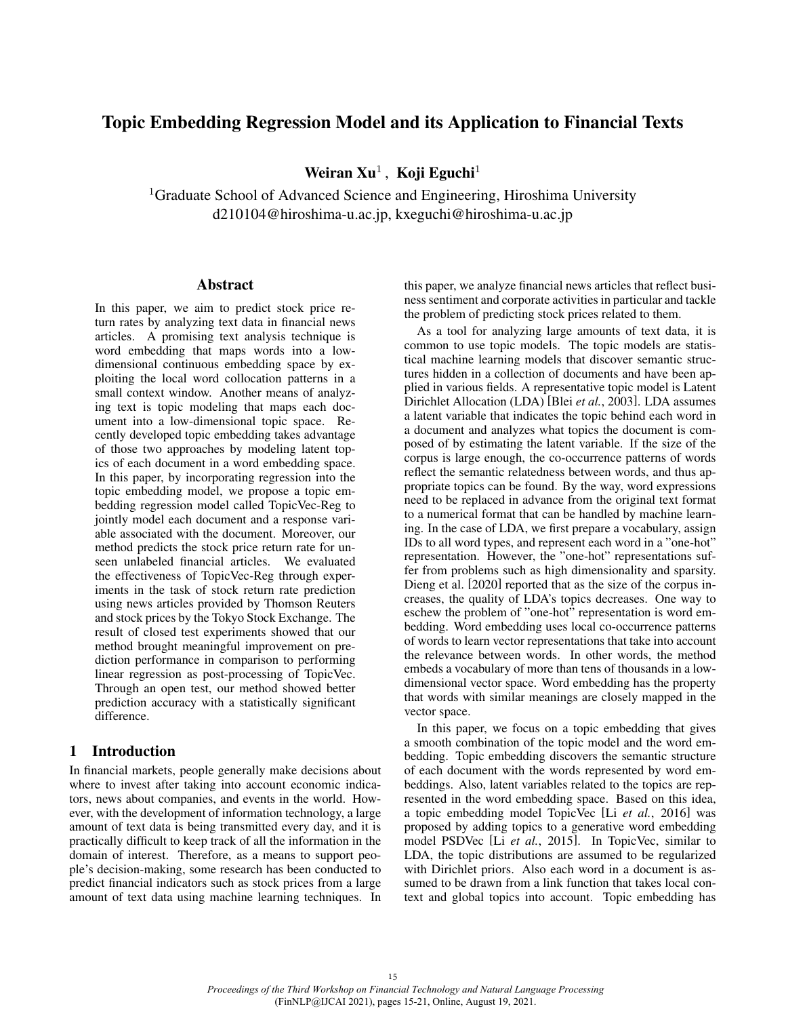# Topic Embedding Regression Model and its Application to Financial Texts

Weiran  $Xu^1$ , Koji Eguchi<sup>1</sup>

<sup>1</sup>Graduate School of Advanced Science and Engineering, Hiroshima University d210104@hiroshima-u.ac.jp, kxeguchi@hiroshima-u.ac.jp

## Abstract

In this paper, we aim to predict stock price return rates by analyzing text data in financial news articles. A promising text analysis technique is word embedding that maps words into a lowdimensional continuous embedding space by exploiting the local word collocation patterns in a small context window. Another means of analyzing text is topic modeling that maps each document into a low-dimensional topic space. Recently developed topic embedding takes advantage of those two approaches by modeling latent topics of each document in a word embedding space. In this paper, by incorporating regression into the topic embedding model, we propose a topic embedding regression model called TopicVec-Reg to jointly model each document and a response variable associated with the document. Moreover, our method predicts the stock price return rate for unseen unlabeled financial articles. We evaluated the effectiveness of TopicVec-Reg through experiments in the task of stock return rate prediction using news articles provided by Thomson Reuters and stock prices by the Tokyo Stock Exchange. The result of closed test experiments showed that our method brought meaningful improvement on prediction performance in comparison to performing linear regression as post-processing of TopicVec. Through an open test, our method showed better prediction accuracy with a statistically significant difference.

# 1 Introduction

In financial markets, people generally make decisions about where to invest after taking into account economic indicators, news about companies, and events in the world. However, with the development of information technology, a large amount of text data is being transmitted every day, and it is practically difficult to keep track of all the information in the domain of interest. Therefore, as a means to support people's decision-making, some research has been conducted to predict financial indicators such as stock prices from a large amount of text data using machine learning techniques. In this paper, we analyze financial news articles that reflect business sentiment and corporate activities in particular and tackle the problem of predicting stock prices related to them.

As a tool for analyzing large amounts of text data, it is common to use topic models. The topic models are statistical machine learning models that discover semantic structures hidden in a collection of documents and have been applied in various fields. A representative topic model is Latent Dirichlet Allocation (LDA) [Blei *et al.*, 2003]. LDA assumes a latent variable that indicates the topic behind each word in a document and analyzes what topics the document is composed of by estimating the latent variable. If the size of the corpus is large enough, the co-occurrence patterns of words reflect the semantic relatedness between words, and thus appropriate topics can be found. By the way, word expressions need to be replaced in advance from the original text format to a numerical format that can be handled by machine learning. In the case of LDA, we first prepare a vocabulary, assign IDs to all word types, and represent each word in a "one-hot" representation. However, the "one-hot" representations suffer from problems such as high dimensionality and sparsity. Dieng et al. [2020] reported that as the size of the corpus increases, the quality of LDA's topics decreases. One way to eschew the problem of "one-hot" representation is word embedding. Word embedding uses local co-occurrence patterns of words to learn vector representations that take into account the relevance between words. In other words, the method embeds a vocabulary of more than tens of thousands in a lowdimensional vector space. Word embedding has the property that words with similar meanings are closely mapped in the vector space.

In this paper, we focus on a topic embedding that gives a smooth combination of the topic model and the word embedding. Topic embedding discovers the semantic structure of each document with the words represented by word embeddings. Also, latent variables related to the topics are represented in the word embedding space. Based on this idea, a topic embedding model TopicVec [Li *et al.*, 2016] was proposed by adding topics to a generative word embedding model PSDVec [Li *et al.*, 2015]. In TopicVec, similar to LDA, the topic distributions are assumed to be regularized with Dirichlet priors. Also each word in a document is assumed to be drawn from a link function that takes local context and global topics into account. Topic embedding has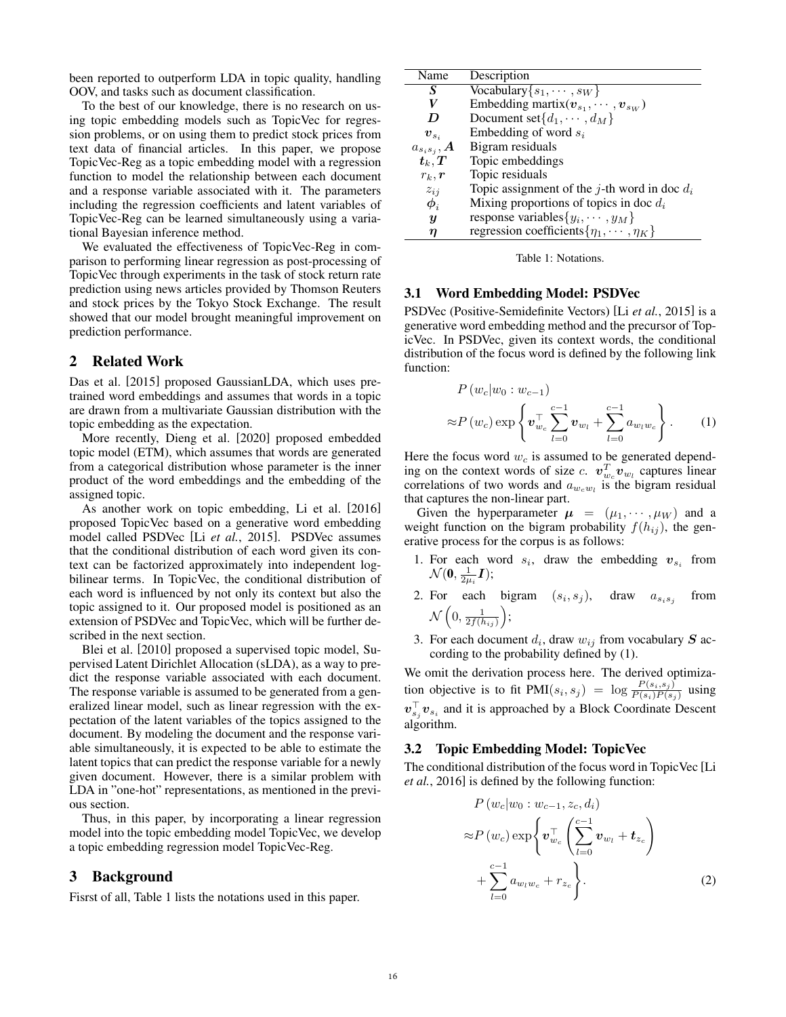been reported to outperform LDA in topic quality, handling OOV, and tasks such as document classification.

To the best of our knowledge, there is no research on using topic embedding models such as TopicVec for regression problems, or on using them to predict stock prices from text data of financial articles. In this paper, we propose TopicVec-Reg as a topic embedding model with a regression function to model the relationship between each document and a response variable associated with it. The parameters including the regression coefficients and latent variables of TopicVec-Reg can be learned simultaneously using a variational Bayesian inference method.

We evaluated the effectiveness of TopicVec-Reg in comparison to performing linear regression as post-processing of TopicVec through experiments in the task of stock return rate prediction using news articles provided by Thomson Reuters and stock prices by the Tokyo Stock Exchange. The result showed that our model brought meaningful improvement on prediction performance.

# 2 Related Work

Das et al. [2015] proposed GaussianLDA, which uses pretrained word embeddings and assumes that words in a topic are drawn from a multivariate Gaussian distribution with the topic embedding as the expectation.

More recently, Dieng et al. [2020] proposed embedded topic model (ETM), which assumes that words are generated from a categorical distribution whose parameter is the inner product of the word embeddings and the embedding of the assigned topic.

As another work on topic embedding, Li et al. [2016] proposed TopicVec based on a generative word embedding model called PSDVec [Li *et al.*, 2015]. PSDVec assumes that the conditional distribution of each word given its context can be factorized approximately into independent logbilinear terms. In TopicVec, the conditional distribution of each word is influenced by not only its context but also the topic assigned to it. Our proposed model is positioned as an extension of PSDVec and TopicVec, which will be further described in the next section.

Blei et al. [2010] proposed a supervised topic model, Supervised Latent Dirichlet Allocation (sLDA), as a way to predict the response variable associated with each document. The response variable is assumed to be generated from a generalized linear model, such as linear regression with the expectation of the latent variables of the topics assigned to the document. By modeling the document and the response variable simultaneously, it is expected to be able to estimate the latent topics that can predict the response variable for a newly given document. However, there is a similar problem with LDA in "one-hot" representations, as mentioned in the previous section.

Thus, in this paper, by incorporating a linear regression model into the topic embedding model TopicVec, we develop a topic embedding regression model TopicVec-Reg.

## 3 Background

Fisrst of all, Table 1 lists the notations used in this paper.

| Name                               | Description                                          |
|------------------------------------|------------------------------------------------------|
| S                                  | $\overline{\text{Vocabulary}\{s_1,\cdots,s_W\}}$     |
| V                                  | Embedding martix $(v_{s_1}, \dots, v_{s_W})$         |
| D                                  | Document set $\{d_1, \cdots, d_M\}$                  |
| $\bm{v}_{s_i}$                     | Embedding of word $s_i$                              |
| $a_{s_is_j}, \boldsymbol{A}$       | Bigram residuals                                     |
| $\boldsymbol{t}_k, \boldsymbol{T}$ | Topic embeddings                                     |
| $r_k, r$                           | Topic residuals                                      |
| $z_{ij}$                           | Topic assignment of the j-th word in doc $d_i$       |
| $\phi_i$                           | Mixing proportions of topics in doc $d_i$            |
| $\boldsymbol{y}$                   | response variables $\{y_i, \dots, y_M\}$             |
| η                                  | regression coefficients { $\eta_1, \cdots, \eta_K$ } |



#### 3.1 Word Embedding Model: PSDVec

PSDVec (Positive-Semidefinite Vectors) [Li *et al.*, 2015] is a generative word embedding method and the precursor of TopicVec. In PSDVec, given its context words, the conditional distribution of the focus word is defined by the following link function:

$$
P(w_c|w_0:w_{c-1})\n\approx P(w_c) \exp\left\{ \mathbf{v}_{w_c}^{\top} \sum_{l=0}^{c-1} \mathbf{v}_{w_l} + \sum_{l=0}^{c-1} a_{w_l w_c} \right\}.
$$
 (1)

Here the focus word  $w_c$  is assumed to be generated depending on the context words of size *c*.  $\mathbf{v}_{w_c}^T \mathbf{v}_{w_l}$  captures linear correlations of two words and  $a_{w_c w_l}$  is the bigram residual that captures the non-linear part.

Given the hyperparameter  $\mu = (\mu_1, \cdots, \mu_W)$  and a weight function on the bigram probability  $f(h_{ij})$ , the generative process for the corpus is as follows:

- 1. For each word  $s_i$ , draw the embedding  $v_{s_i}$  from  $\mathcal{N}(\mathbf{0}, \frac{1}{2\mu_i}\boldsymbol{I});$
- 2. For each bigram  $(s_i, s_j)$ , draw  $a_{s_i s_j}$ from  $\mathcal{N}\left(0, \frac{1}{2f(h_{ij})}\right)$  ;
- 3. For each document  $d_i$ , draw  $w_{ij}$  from vocabulary  $S$  according to the probability defined by (1).

We omit the derivation process here. The derived optimization objective is to fit PMI( $s_i, s_j$ ) =  $\log \frac{P(s_i, s_j)}{P(s_i)P(s_j)}$  using  $\mathbf{v}_{s_j}^{\top} \mathbf{v}_{s_i}$  and it is approached by a Block Coordinate Descent algorithm.

### 3.2 Topic Embedding Model: TopicVec

The conditional distribution of the focus word in TopicVec [Li *et al.*, 2016] is defined by the following function:

$$
P(w_c|w_0:w_{c-1}, z_c, d_i)
$$
  
\n
$$
\approx P(w_c) \exp\left\{ \boldsymbol{v}_{w_c}^{\top} \left( \sum_{l=0}^{c-1} \boldsymbol{v}_{w_l} + \boldsymbol{t}_{z_c} \right) + \sum_{l=0}^{c-1} a_{w_l w_c} + r_{z_c} \right\}.
$$
\n(2)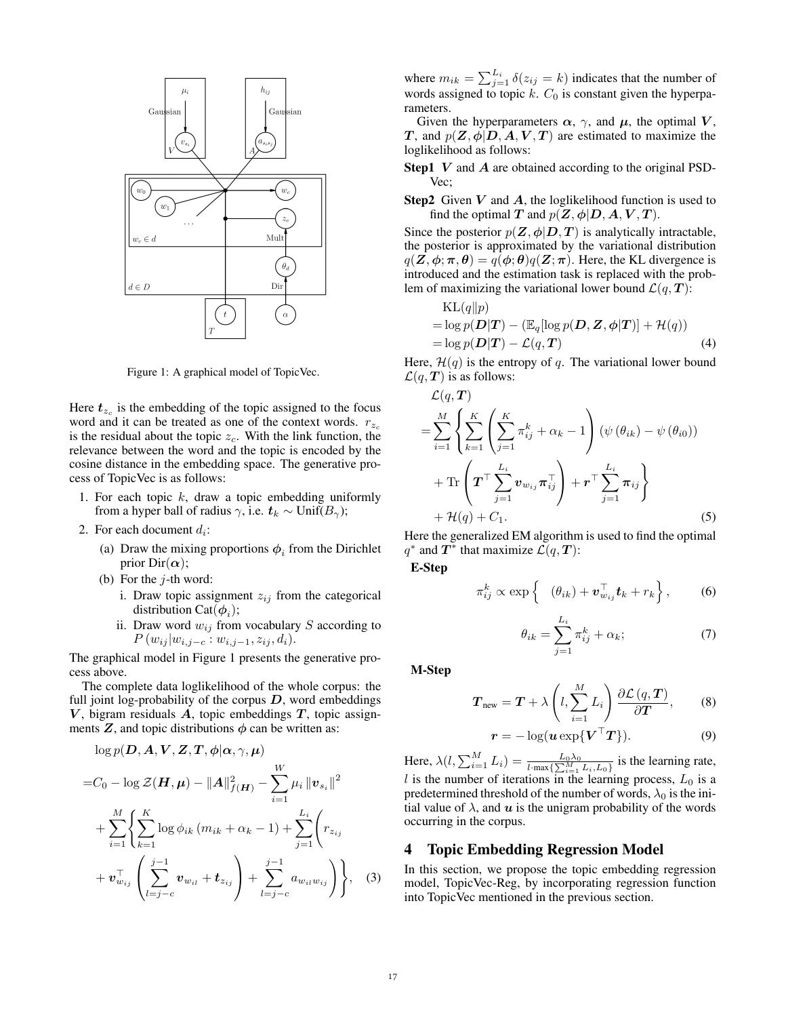

Figure 1: A graphical model of TopicVec.

Here  $t_{z_c}$  is the embedding of the topic assigned to the focus word and it can be treated as one of the context words.  $r_{z_c}$ is the residual about the topic  $z_c$ . With the link function, the relevance between the word and the topic is encoded by the cosine distance in the embedding space. The generative process of TopicVec is as follows:

- 1. For each topic  $k$ , draw a topic embedding uniformly from a hyper ball of radius  $\gamma$ , i.e.  $t_k \sim \text{Unif}(B_\gamma)$ ;
- 2. For each document  $d_i$ :
	- (a) Draw the mixing proportions  $\phi_i$  from the Dirichlet prior  $Dir(\alpha)$ ;
	- (b) For the  $j$ -th word:
		- i. Draw topic assignment  $z_{ij}$  from the categorical distribution Cat $(\phi_i)$ ;
		- ii. Draw word  $w_{ij}$  from vocabulary S according to  $P(w_{ij}|w_{i,j-c}:w_{i,j-1},z_{ij},d_i).$

The graphical model in Figure 1 presents the generative process above.

The complete data loglikelihood of the whole corpus: the full joint log-probability of the corpus  $D$ , word embeddings  $V$ , bigram residuals  $A$ , topic embeddings  $T$ , topic assignments  $Z$ , and topic distributions  $\phi$  can be written as:

$$
\log p(\mathbf{D}, \mathbf{A}, \mathbf{V}, \mathbf{Z}, \mathbf{T}, \phi | \alpha, \gamma, \mu)
$$
  
=  $C_0 - \log \mathcal{Z}(\mathbf{H}, \mu) - ||\mathbf{A}||_{f(\mathbf{H})}^2 - \sum_{i=1}^W \mu_i ||\mathbf{v}_{s_i}||^2$   
+  $\sum_{i=1}^M \left\{ \sum_{k=1}^K \log \phi_{ik} (m_{ik} + \alpha_k - 1) + \sum_{j=1}^{L_i} \left( r_{z_{ij}} + \mathbf{v}_{w_{ij}}^{\top} \left( \sum_{l=j-c}^{j-1} \mathbf{v}_{w_{il}} + \mathbf{t}_{z_{ij}} \right) + \sum_{l=j-c}^{j-1} a_{w_{il}w_{ij}} \right) \right\},$  (3)

where  $m_{ik} = \sum_{j=1}^{L_i} \delta(z_{ij} = k)$  indicates that the number of words assigned to topic  $k$ .  $C_0$  is constant given the hyperparameters.

Given the hyperparameters  $\alpha$ ,  $\gamma$ , and  $\mu$ , the optimal V, T, and  $p(Z, \phi | D, A, V, T)$  are estimated to maximize the loglikelihood as follows:

- **Step1**  $V$  and  $A$  are obtained according to the original PSD-Vec;
- **Step2** Given  $V$  and  $A$ , the loglikelihood function is used to find the optimal T and  $p(Z, \phi | D, A, V, T)$ .

Since the posterior  $p(\mathbf{Z}, \phi | \mathbf{D}, \mathbf{T})$  is analytically intractable, the posterior is approximated by the variational distribution  $q(\mathbf{Z}, \boldsymbol{\phi}; \boldsymbol{\pi}, \boldsymbol{\theta}) = q(\boldsymbol{\phi}; \boldsymbol{\theta}) q(\mathbf{Z}; \boldsymbol{\pi})$ . Here, the KL divergence is introduced and the estimation task is replaced with the problem of maximizing the variational lower bound  $\mathcal{L}(q, T)$ :

$$
KL(q||p) \n= log p(D|T) - (E_q[log p(D, Z, \phi|T)] + \mathcal{H}(q)) \n= log p(D|T) - \mathcal{L}(q, T)
$$
\n(4)

Here,  $\mathcal{H}(q)$  is the entropy of q. The variational lower bound  $\mathcal{L}(q, T)$  is as follows:

$$
\mathcal{L}(q, T)
$$
\n
$$
= \sum_{i=1}^{M} \left\{ \sum_{k=1}^{K} \left( \sum_{j=1}^{K} \pi_{ij}^{k} + \alpha_{k} - 1 \right) \left( \psi \left( \theta_{ik} \right) - \psi \left( \theta_{i0} \right) \right) \right.
$$
\n
$$
+ \text{Tr} \left( \boldsymbol{T}^{\top} \sum_{j=1}^{L_{i}} \boldsymbol{v}_{w_{ij}} \boldsymbol{\pi}_{ij}^{\top} \right) + \boldsymbol{r}^{\top} \sum_{j=1}^{L_{i}} \boldsymbol{\pi}_{ij} \right\} + \mathcal{H}(q) + C_{1}.
$$
\n(5)

Here the generalized EM algorithm is used to find the optimal  $q^*$  and  $T^*$  that maximize  $\mathcal{L}(q, T)$ :

E-Step

$$
\pi_{ij}^k \propto \exp\left\{ \quad (\theta_{ik}) + \boldsymbol{v}_{w_{ij}}^\top \boldsymbol{t}_k + r_k \right\},\tag{6}
$$

$$
\theta_{ik} = \sum_{j=1}^{L_i} \pi_{ij}^k + \alpha_k; \tag{7}
$$

M-Step

$$
\boldsymbol{T}_{\text{new}} = \boldsymbol{T} + \lambda \left( l, \sum_{i=1}^{M} L_i \right) \frac{\partial \mathcal{L}(q, \boldsymbol{T})}{\partial \boldsymbol{T}}, \qquad (8)
$$

$$
\boldsymbol{r} = -\log(\boldsymbol{u} \exp\{\boldsymbol{V}^\top \boldsymbol{T}\}).
$$
 (9)

Here,  $\lambda(l, \sum_{i=1}^{M} L_i) = \frac{L_0 \lambda_0}{l \cdot \max\{\sum_{i=1}^{M} L_i, L_0\}}$  is the learning rate, l is the number of iterations in the learning process,  $L_0$  is a predetermined threshold of the number of words,  $\lambda_0$  is the initial value of  $\lambda$ , and  $\boldsymbol{u}$  is the unigram probability of the words occurring in the corpus.

#### 4 Topic Embedding Regression Model

In this section, we propose the topic embedding regression model, TopicVec-Reg, by incorporating regression function into TopicVec mentioned in the previous section.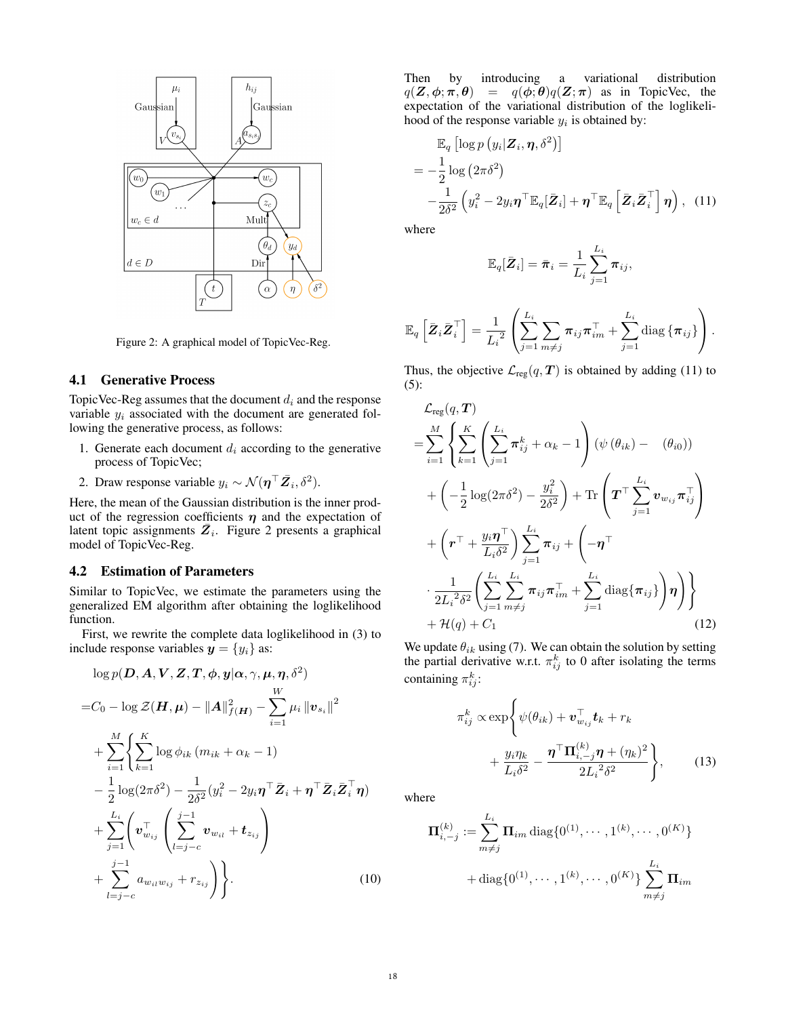

Figure 2: A graphical model of TopicVec-Reg.

## 4.1 Generative Process

TopicVec-Reg assumes that the document  $d_i$  and the response variable  $y_i$  associated with the document are generated following the generative process, as follows:

- 1. Generate each document  $d_i$  according to the generative process of TopicVec;
- 2. Draw response variable  $y_i \sim \mathcal{N}(\eta^\top \bar{Z}_i, \delta^2)$ .

Here, the mean of the Gaussian distribution is the inner product of the regression coefficients  $\eta$  and the expectation of latent topic assignments  $\overline{Z}_i$ . Figure 2 presents a graphical model of TopicVec-Reg.

#### 4.2 Estimation of Parameters

Similar to TopicVec, we estimate the parameters using the generalized EM algorithm after obtaining the loglikelihood function.

First, we rewrite the complete data loglikelihood in (3) to include response variables  $y = \{y_i\}$  as:

$$
\log p(\boldsymbol{D}, \boldsymbol{A}, \boldsymbol{V}, \boldsymbol{Z}, \boldsymbol{T}, \boldsymbol{\phi}, \boldsymbol{y} | \boldsymbol{\alpha}, \gamma, \boldsymbol{\mu}, \boldsymbol{\eta}, \delta^2)
$$
\n
$$
= C_0 - \log \mathcal{Z}(\boldsymbol{H}, \boldsymbol{\mu}) - \|\boldsymbol{A}\|_{f(\boldsymbol{H})}^2 - \sum_{i=1}^W \mu_i \|\boldsymbol{v}_{s_i}\|^2
$$
\n
$$
+ \sum_{i=1}^M \left\{ \sum_{k=1}^K \log \phi_{ik} (m_{ik} + \alpha_k - 1) - \frac{1}{2} \log(2\pi\delta^2) - \frac{1}{2\delta^2} (y_i^2 - 2y_i \boldsymbol{\eta}^\top \bar{\boldsymbol{Z}}_i + \boldsymbol{\eta}^\top \bar{\boldsymbol{Z}}_i \bar{\boldsymbol{Z}}_i^\top \boldsymbol{\eta}) + \sum_{j=1}^{L_i} \left( \boldsymbol{v}_{w_{ij}}^\top \left( \sum_{l=j-c}^{j-1} \boldsymbol{v}_{w_{il}} + \boldsymbol{t}_{z_{ij}} \right) + \sum_{l=j-c}^{j-1} a_{w_{il}w_{ij}} + r_{z_{ij}} \right) \right\}.
$$
\n(10)

Then by introducing a variational distribution  $q(\mathbf{Z}, \boldsymbol{\phi}; \boldsymbol{\pi}, \boldsymbol{\theta}) = q(\boldsymbol{\phi}; \boldsymbol{\theta})q(\mathbf{Z}; \boldsymbol{\pi})$  as in TopicVec, the expectation of the variational distribution of the loglikelihood of the response variable  $y_i$  is obtained by:

$$
\mathbb{E}_{q}\left[\log p\left(y_{i}|\mathbf{Z}_{i}, \boldsymbol{\eta}, \delta^{2}\right)\right] \n= -\frac{1}{2}\log\left(2\pi\delta^{2}\right) \n- \frac{1}{2\delta^{2}}\left(y_{i}^{2} - 2y_{i}\boldsymbol{\eta}^{\top}\mathbb{E}_{q}[\bar{\mathbf{Z}}_{i}] + \boldsymbol{\eta}^{\top}\mathbb{E}_{q}\left[\bar{\mathbf{Z}}_{i}\bar{\mathbf{Z}}_{i}^{\top}\right]\boldsymbol{\eta}\right), (11)
$$

where

$$
\mathbb{E}_q[\bar{Z}_i] = \bar{\pi}_i = \frac{1}{L_i} \sum_{j=1}^{L_i} \pi_{ij},
$$

$$
\mathbb{E}_q\left[\bar{\boldsymbol{Z}}_i \bar{\boldsymbol{Z}}_i^\top\right] = \frac{1}{L_i^2} \left( \sum_{j=1}^{L_i} \sum_{m \neq j} \boldsymbol{\pi}_{ij} \boldsymbol{\pi}_{im}^\top + \sum_{j=1}^{L_i} \text{diag}\left\{\boldsymbol{\pi}_{ij}\right\} \right).
$$

Thus, the objective  $\mathcal{L}_{reg}(q, T)$  is obtained by adding (11) to (5):

$$
\mathcal{L}_{reg}(q, \boldsymbol{T})
$$
\n
$$
= \sum_{i=1}^{M} \left\{ \sum_{k=1}^{K} \left( \sum_{j=1}^{L_i} \pi_{ij}^k + \alpha_k - 1 \right) (\psi(\theta_{ik}) - (\theta_{i0}))
$$
\n
$$
+ \left( -\frac{1}{2} \log(2\pi\delta^2) - \frac{y_i^2}{2\delta^2} \right) + \text{Tr} \left( \boldsymbol{T}^\top \sum_{j=1}^{L_i} \boldsymbol{v}_{w_{ij}} \pi_{ij}^\top \right)
$$
\n
$$
+ \left( \boldsymbol{r}^\top + \frac{y_i \boldsymbol{\eta}^\top}{L_i \delta^2} \right) \sum_{j=1}^{L_i} \pi_{ij} + \left( -\boldsymbol{\eta}^\top
$$
\n
$$
\cdot \frac{1}{2L_i^2 \delta^2} \left( \sum_{j=1}^{L_i} \sum_{m \neq j}^{L_i} \pi_{ij} \pi_{im}^\top + \sum_{j=1}^{L_i} \text{diag}\{\pi_{ij}\} \right) \boldsymbol{\eta} \right) \}
$$
\n
$$
+ \mathcal{H}(q) + C_1 \tag{12}
$$

We update  $\theta_{ik}$  using (7). We can obtain the solution by setting the partial derivative w.r.t.  $\pi_{ij}^k$  to 0 after isolating the terms containing  $\pi_{ij}^k$ :

$$
\pi_{ij}^k \propto \exp\left\{\psi(\theta_{ik}) + \mathbf{v}_{w_{ij}}^\top \mathbf{t}_k + r_k + \frac{y_i \eta_k}{L_i \delta^2} - \frac{\boldsymbol{\eta}^\top \mathbf{\Pi}_{i,-j}^{(k)} \boldsymbol{\eta} + (\eta_k)^2}{2L_i^2 \delta^2}\right\},\qquad(13)
$$

where

$$
\Pi_{i,-j}^{(k)} := \sum_{m \neq j}^{L_i} \Pi_{im} \operatorname{diag} \{0^{(1)}, \cdots, 1^{(k)}, \cdots, 0^{(K)}\}
$$

$$
+ \operatorname{diag} \{0^{(1)}, \cdots, 1^{(k)}, \cdots, 0^{(K)}\} \sum_{m \neq j}^{L_i} \Pi_{im}
$$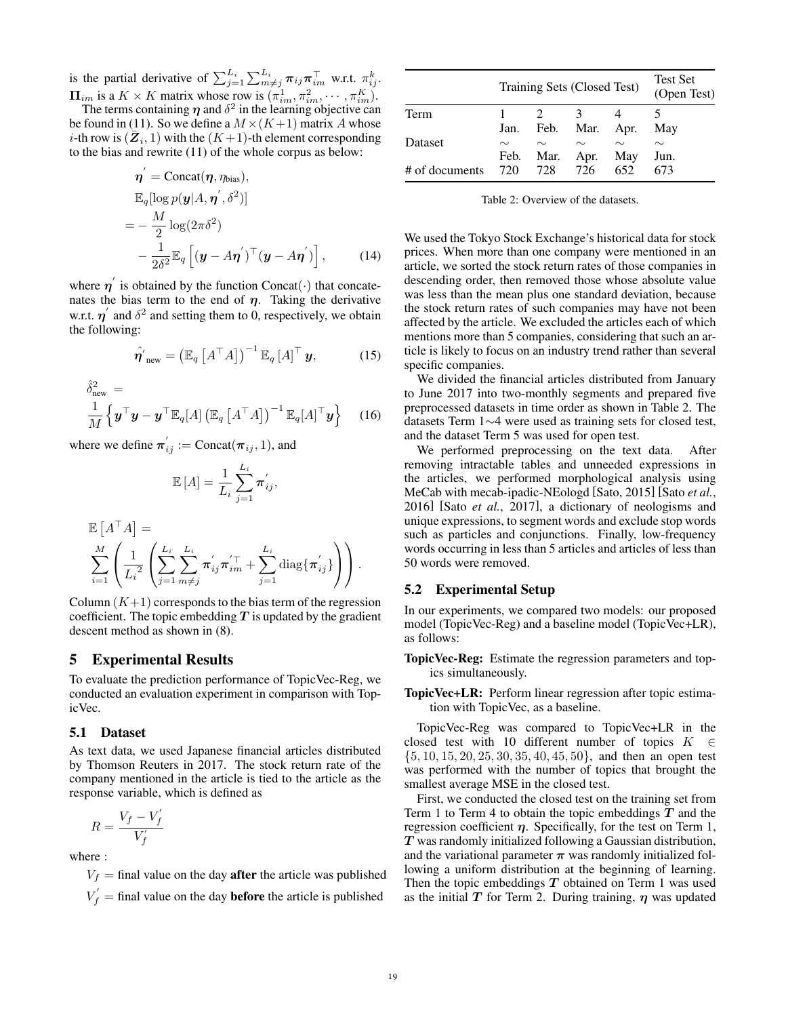is the partial derivative of  $\sum_{j=1}^{L_i} \sum_{m \neq j}^{L_i} \pi_{ij} \pi_{im}^{\top}$  w.r.t.  $\pi_{ij}^k$ .  $\Pi_{im}$  is a  $K \times K$  matrix whose row is  $(\pi_{im}^1, \pi_{im}^2, \cdots, \pi_{im}^K)$ .

The terms containing  $\eta$  and  $\delta^2$  in the learning objective can be found in (11). So we define a  $M \times (K+1)$  matrix A whose *i*-th row is  $(\bar{Z}_i, 1)$  with the  $(K+1)$ -th element corresponding to the bias and rewrite (11) of the whole corpus as below:

$$
\eta' = \text{Concat}(\eta, \eta_{\text{bias}}),
$$
  
\n
$$
\mathbb{E}_{q}[\log p(\mathbf{y}|A, \eta', \delta^2)]
$$
  
\n
$$
= -\frac{M}{2} \log(2\pi \delta^2)
$$
  
\n
$$
-\frac{1}{2\delta^2} \mathbb{E}_{q} [(\mathbf{y} - A\eta')^{\top} (\mathbf{y} - A\eta')] , \qquad (14)
$$

where  $\eta'$  is obtained by the function Concat( $\cdot$ ) that concatenates the bias term to the end of  $\eta$ . Taking the derivative w.r.t.  $\eta'$  and  $\delta^2$  and setting them to 0, respectively, we obtain the following:

$$
\hat{\boldsymbol{\eta'}}_{\text{new}} = \left(\mathbb{E}_{q} \left[ A^{\top} A \right] \right)^{-1} \mathbb{E}_{q} \left[ A \right]^{\top} \boldsymbol{y}, \tag{15}
$$

$$
\hat{\delta}_{\text{new}}^2 = \frac{1}{M} \left\{ \boldsymbol{y}^\top \boldsymbol{y} - \boldsymbol{y}^\top \mathbb{E}_q[A] \left( \mathbb{E}_q \left[ A^\top A \right] \right)^{-1} \mathbb{E}_q[A]^\top \boldsymbol{y} \right\} \tag{16}
$$

where we define  $\pi_{ij}^{\prime} := \text{Concat}(\pi_{ij}, 1)$ , and

$$
\mathbb{E}[A] = \frac{1}{L_i} \sum_{j=1}^{L_i} \pi'_{ij},
$$

$$
\mathbb{E}\left[A^{\top} A\right] = \sum_{i=1}^{M} \left( \frac{1}{L_i^2} \left( \sum_{j=1}^{L_i} \sum_{m \neq j}^{L_i} \pi'_{ij} \pi'_{im} + \sum_{j=1}^{L_i} \text{diag}\{\pi'_{ij}\}\right) \right).
$$

Column  $(K+1)$  corresponds to the bias term of the regression coefficient. The topic embedding  $T$  is updated by the gradient descent method as shown in (8).

# 5 Experimental Results

To evaluate the prediction performance of TopicVec-Reg, we conducted an evaluation experiment in comparison with TopicVec.

#### 5.1 Dataset

As text data, we used Japanese financial articles distributed by Thomson Reuters in 2017. The stock return rate of the company mentioned in the article is tied to the article as the response variable, which is defined as

$$
R = \frac{V_f - V'_f}{V'_f}
$$

where :

 $V_f$  = final value on the day **after** the article was published

 $V_f$  = final value on the day **before** the article is published

|                | Training Sets (Closed Test) | <b>Test Set</b><br>(Open Test) |        |        |        |
|----------------|-----------------------------|--------------------------------|--------|--------|--------|
| Term           |                             |                                |        |        |        |
|                | Jan.                        | Feb.                           | Mar.   | Apr.   | May    |
| Dataset        | $\sim$                      | $\sim$                         | $\sim$ | $\sim$ | $\sim$ |
|                | Feb.                        | Mar.                           | Apr.   | May    | Jun.   |
| # of documents | 720                         | 728                            | 726    | 652    | 673    |

Table 2: Overview of the datasets.

We used the Tokyo Stock Exchange's historical data for stock prices. When more than one company were mentioned in an article, we sorted the stock return rates of those companies in descending order, then removed those whose absolute value was less than the mean plus one standard deviation, because the stock return rates of such companies may have not been affected by the article. We excluded the articles each of which mentions more than 5 companies, considering that such an article is likely to focus on an industry trend rather than several specific companies.

We divided the financial articles distributed from January to June 2017 into two-monthly segments and prepared five preprocessed datasets in time order as shown in Table 2. The datasets Term 1∼4 were used as training sets for closed test, and the dataset Term 5 was used for open test.

We performed preprocessing on the text data. After removing intractable tables and unneeded expressions in the articles, we performed morphological analysis using MeCab with mecab-ipadic-NEologd [Sato, 2015] [Sato *et al.*, 2016] [Sato *et al.*, 2017], a dictionary of neologisms and unique expressions, to segment words and exclude stop words such as particles and conjunctions. Finally, low-frequency words occurring in less than 5 articles and articles of less than 50 words were removed.

## 5.2 Experimental Setup

In our experiments, we compared two models: our proposed model (TopicVec-Reg) and a baseline model (TopicVec+LR), as follows:

- TopicVec-Reg: Estimate the regression parameters and topics simultaneously.
- TopicVec+LR: Perform linear regression after topic estimation with TopicVec, as a baseline.

TopicVec-Reg was compared to TopicVec+LR in the closed test with 10 different number of topics  $K \in$  $\{5, 10, 15, 20, 25, 30, 35, 40, 45, 50\}$ , and then an open test was performed with the number of topics that brought the smallest average MSE in the closed test.

First, we conducted the closed test on the training set from Term 1 to Term 4 to obtain the topic embeddings  $T$  and the regression coefficient  $\eta$ . Specifically, for the test on Term 1, T was randomly initialized following a Gaussian distribution, and the variational parameter  $\pi$  was randomly initialized following a uniform distribution at the beginning of learning. Then the topic embeddings  $T$  obtained on Term 1 was used as the initial  $T$  for Term 2. During training,  $\eta$  was updated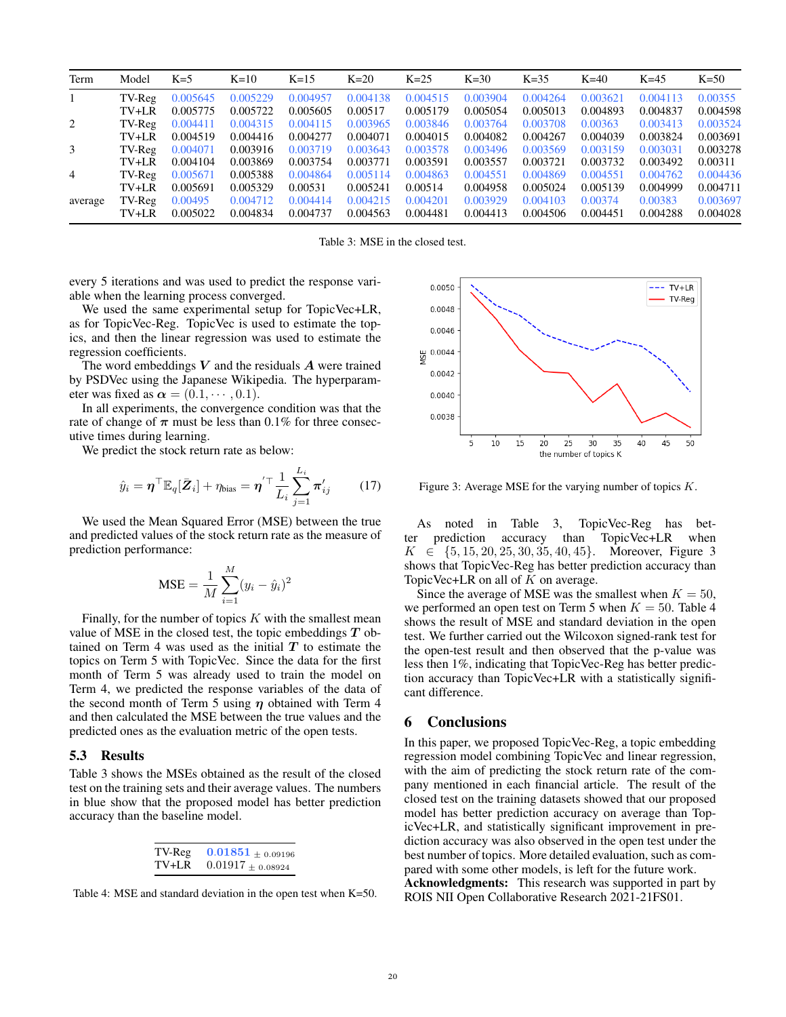| Term           | Model   | $K=5$    | $K=10$   | $K=15$   | $K=20$   | $K=25$   | $K=30$   | $K=35$   | $K=40$   | $K=45$   | $K=50$   |
|----------------|---------|----------|----------|----------|----------|----------|----------|----------|----------|----------|----------|
| 1              | TV-Reg  | 0.005645 | 0.005229 | 0.004957 | 0.004138 | 0.004515 | 0.003904 | 0.004264 | 0.003621 | 0.004113 | 0.00355  |
|                | TV+LR   | 0.005775 | 0.005722 | 0.005605 | 0.00517  | 0.005179 | 0.005054 | 0.005013 | 0.004893 | 0.004837 | 0.004598 |
| 2              | TV-Reg  | 0.004411 | 0.004315 | 0.004115 | 0.003965 | 0.003846 | 0.003764 | 0.003708 | 0.00363  | 0.003413 | 0.003524 |
|                | TV+LR   | 0.004519 | 0.004416 | 0.004277 | 0.004071 | 0.004015 | 0.004082 | 0.004267 | 0.004039 | 0.003824 | 0.003691 |
| 3              | TV-Reg  | 0.004071 | 0.003916 | 0.003719 | 0.003643 | 0.003578 | 0.003496 | 0.003569 | 0.003159 | 0.003031 | 0.003278 |
|                | TV+LR   | 0.004104 | 0.003869 | 0.003754 | 0.003771 | 0.003591 | 0.003557 | 0.003721 | 0.003732 | 0.003492 | 0.00311  |
| $\overline{4}$ | TV-Reg  | 0.005671 | 0.005388 | 0.004864 | 0.005114 | 0.004863 | 0.004551 | 0.004869 | 0.004551 | 0.004762 | 0.004436 |
|                | TV+LR   | 0.005691 | 0.005329 | 0.00531  | 0.005241 | 0.00514  | 0.004958 | 0.005024 | 0.005139 | 0.004999 | 0.004711 |
| average        | TV-Reg  | 0.00495  | 0.004712 | 0.004414 | 0.004215 | 0.004201 | 0.003929 | 0.004103 | 0.00374  | 0.00383  | 0.003697 |
|                | $TV+LR$ | 0.005022 | 0.004834 | 0.004737 | 0.004563 | 0.004481 | 0.004413 | 0.004506 | 0.004451 | 0.004288 | 0.004028 |

Table 3: MSE in the closed test.

every 5 iterations and was used to predict the response variable when the learning process converged.

We used the same experimental setup for TopicVec+LR, as for TopicVec-Reg. TopicVec is used to estimate the topics, and then the linear regression was used to estimate the regression coefficients.

The word embeddings  $V$  and the residuals  $A$  were trained by PSDVec using the Japanese Wikipedia. The hyperparameter was fixed as  $\alpha = (0.1, \dots, 0.1)$ .

In all experiments, the convergence condition was that the rate of change of  $\pi$  must be less than 0.1% for three consecutive times during learning.

We predict the stock return rate as below:

$$
\hat{y}_i = \boldsymbol{\eta}^\top \mathbb{E}_q[\bar{\boldsymbol{Z}}_i] + \eta_{\text{bias}} = \boldsymbol{\eta}'^\top \frac{1}{L_i} \sum_{j=1}^{L_i} \boldsymbol{\pi}'_{ij} \qquad (17)
$$

We used the Mean Squared Error (MSE) between the true and predicted values of the stock return rate as the measure of prediction performance:

$$
MSE = \frac{1}{M} \sum_{i=1}^{M} (y_i - \hat{y}_i)^2
$$

Finally, for the number of topics  $K$  with the smallest mean value of MSE in the closed test, the topic embeddings  $T$  obtained on Term 4 was used as the initial  $T$  to estimate the topics on Term 5 with TopicVec. Since the data for the first month of Term 5 was already used to train the model on Term 4, we predicted the response variables of the data of the second month of Term 5 using  $\eta$  obtained with Term 4 and then calculated the MSE between the true values and the predicted ones as the evaluation metric of the open tests.

#### 5.3 Results

Table 3 shows the MSEs obtained as the result of the closed test on the training sets and their average values. The numbers in blue show that the proposed model has better prediction accuracy than the baseline model.

| TV-Reg  | $0.01851_{\,\pm\,0.09196}$ |
|---------|----------------------------|
| $TV+LR$ | $0.01917 \pm 0.08924$      |

Table 4: MSE and standard deviation in the open test when K=50.



Figure 3: Average MSE for the varying number of topics  $K$ .

As noted in Table 3, TopicVec-Reg has better prediction accuracy than TopicVec+LR when  $K \in \{5, 15, 20, 25, 30, 35, 40, 45\}$ . Moreover, Figure 3 shows that TopicVec-Reg has better prediction accuracy than TopicVec+LR on all of  $K$  on average.

Since the average of MSE was the smallest when  $K = 50$ , we performed an open test on Term 5 when  $K = 50$ . Table 4 shows the result of MSE and standard deviation in the open test. We further carried out the Wilcoxon signed-rank test for the open-test result and then observed that the p-value was less then 1%, indicating that TopicVec-Reg has better prediction accuracy than TopicVec+LR with a statistically significant difference.

## 6 Conclusions

In this paper, we proposed TopicVec-Reg, a topic embedding regression model combining TopicVec and linear regression, with the aim of predicting the stock return rate of the company mentioned in each financial article. The result of the closed test on the training datasets showed that our proposed model has better prediction accuracy on average than TopicVec+LR, and statistically significant improvement in prediction accuracy was also observed in the open test under the best number of topics. More detailed evaluation, such as compared with some other models, is left for the future work. Acknowledgments: This research was supported in part by ROIS NII Open Collaborative Research 2021-21FS01.